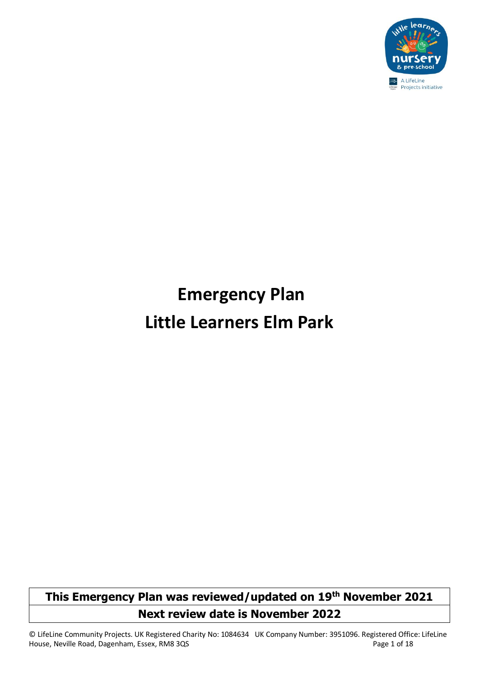

# **Emergency Plan Little Learners Elm Park**

### **This Emergency Plan was reviewed/updated on 19th November 2021 Next review date is November 2022**

© LifeLine Community Projects. UK Registered Charity No: 1084634 UK Company Number: 3951096. Registered Office: LifeLine House, Neville Road, Dagenham, Essex, RM8 3QS extended a state of 18 Page 1 of 18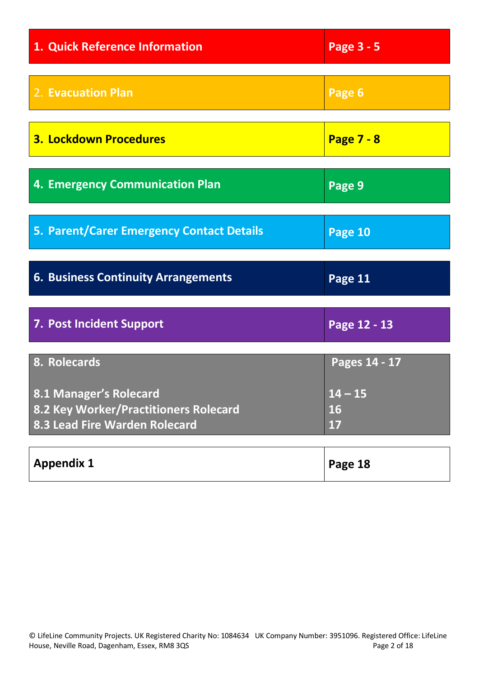| 1. Quick Reference Information                                                                   | Page 3 - 5                   |
|--------------------------------------------------------------------------------------------------|------------------------------|
| 2. Evacuation Plan                                                                               | Page 6                       |
| <b>3. Lockdown Procedures</b>                                                                    | <b>Page 7 - 8</b>            |
| <b>4. Emergency Communication Plan</b>                                                           | Page 9                       |
| 5. Parent/Carer Emergency Contact Details                                                        | Page 10                      |
| <b>6. Business Continuity Arrangements</b>                                                       | Page 11                      |
|                                                                                                  |                              |
| 7. Post Incident Support                                                                         | Page 12 - 13                 |
| 8. Rolecards                                                                                     | Pages 14 - 17                |
| 8.1 Manager's Rolecard<br>8.2 Key Worker/Practitioners Rolecard<br>8.3 Lead Fire Warden Rolecard | $14 - 15$<br><b>16</b><br>17 |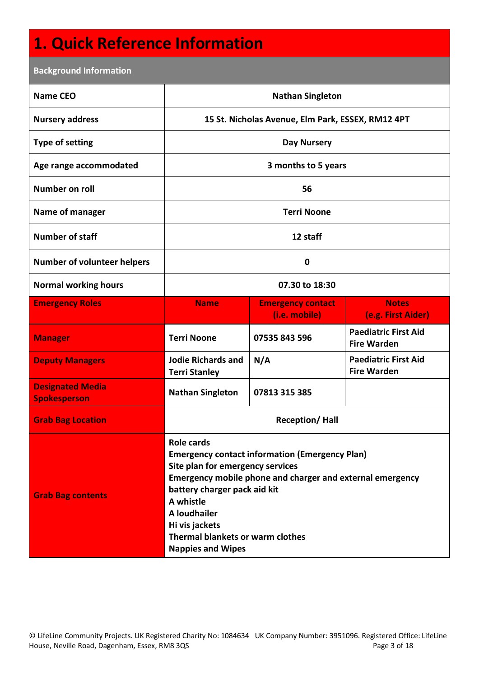### **1. Quick Reference Information**

| <b>Background Information</b>                  |                                                                                                                                                                                                                                                                                                                            |                                                   |                                                   |  |
|------------------------------------------------|----------------------------------------------------------------------------------------------------------------------------------------------------------------------------------------------------------------------------------------------------------------------------------------------------------------------------|---------------------------------------------------|---------------------------------------------------|--|
| <b>Name CEO</b>                                | <b>Nathan Singleton</b>                                                                                                                                                                                                                                                                                                    |                                                   |                                                   |  |
| <b>Nursery address</b>                         |                                                                                                                                                                                                                                                                                                                            | 15 St. Nicholas Avenue, Elm Park, ESSEX, RM12 4PT |                                                   |  |
| <b>Type of setting</b>                         |                                                                                                                                                                                                                                                                                                                            | <b>Day Nursery</b>                                |                                                   |  |
| Age range accommodated                         |                                                                                                                                                                                                                                                                                                                            | 3 months to 5 years                               |                                                   |  |
| <b>Number on roll</b>                          |                                                                                                                                                                                                                                                                                                                            | 56                                                |                                                   |  |
| Name of manager                                |                                                                                                                                                                                                                                                                                                                            | <b>Terri Noone</b>                                |                                                   |  |
| <b>Number of staff</b>                         |                                                                                                                                                                                                                                                                                                                            | 12 staff                                          |                                                   |  |
| <b>Number of volunteer helpers</b>             |                                                                                                                                                                                                                                                                                                                            | $\bf{0}$                                          |                                                   |  |
| <b>Normal working hours</b>                    |                                                                                                                                                                                                                                                                                                                            | 07.30 to 18:30                                    |                                                   |  |
| <b>Emergency Roles</b>                         | <b>Name</b>                                                                                                                                                                                                                                                                                                                | <b>Emergency contact</b><br>(i.e. mobile)         | <b>Notes</b><br>(e.g. First Aider)                |  |
| <b>Manager</b>                                 | <b>Terri Noone</b>                                                                                                                                                                                                                                                                                                         | 07535 843 596                                     | <b>Paediatric First Aid</b><br><b>Fire Warden</b> |  |
| <b>Deputy Managers</b>                         | <b>Jodie Richards and</b><br><b>Terri Stanley</b>                                                                                                                                                                                                                                                                          | N/A                                               | <b>Paediatric First Aid</b><br><b>Fire Warden</b> |  |
| <b>Designated Media</b><br><b>Spokesperson</b> | <b>Nathan Singleton</b>                                                                                                                                                                                                                                                                                                    | 07813 315 385                                     |                                                   |  |
| <b>Grab Bag Location</b>                       | <b>Reception/Hall</b>                                                                                                                                                                                                                                                                                                      |                                                   |                                                   |  |
| <b>Grab Bag contents</b>                       | <b>Role cards</b><br><b>Emergency contact information (Emergency Plan)</b><br>Site plan for emergency services<br>Emergency mobile phone and charger and external emergency<br>battery charger pack aid kit<br>A whistle<br>A loudhailer<br>Hi vis jackets<br>Thermal blankets or warm clothes<br><b>Nappies and Wipes</b> |                                                   |                                                   |  |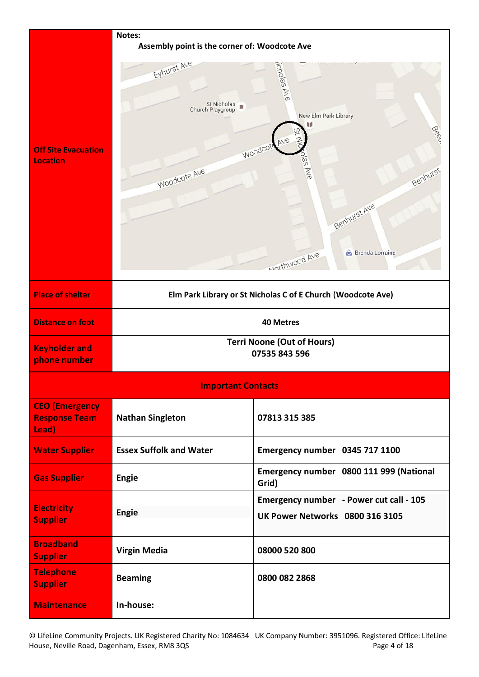|                                                        | Notes:                                                         |                                                                                                                                            |  |
|--------------------------------------------------------|----------------------------------------------------------------|--------------------------------------------------------------------------------------------------------------------------------------------|--|
|                                                        | Assembly point is the corner of: Woodcote Ave                  |                                                                                                                                            |  |
| <b>Off Site Evacuation</b><br><b>Location</b>          | Eyhurst Ave<br>St Nicholas<br>Church Playgroup<br>Woodcote Ave | jicholas Ave<br>New Elm Park Library<br>Beeu<br>Woodcote<br>Jas Ave<br>Benhurst<br>Benhurst Ave<br><b>Brenda Lorraine</b><br>Morthwood Ave |  |
| <b>Place of shelter</b>                                |                                                                | Elm Park Library or St Nicholas C of E Church (Woodcote Ave)                                                                               |  |
| <b>Distance on foot</b>                                |                                                                | <b>40 Metres</b>                                                                                                                           |  |
| <b>Keyholder and</b><br>phone number                   | <b>Terri Noone (Out of Hours)</b><br>07535 843 596             |                                                                                                                                            |  |
|                                                        | <b>Important Contacts</b>                                      |                                                                                                                                            |  |
| <b>CEO</b> (Emergency<br><b>Response Team</b><br>Lead) | <b>Nathan Singleton</b>                                        | 07813 315 385                                                                                                                              |  |
| <b>Water Supplier</b>                                  | <b>Essex Suffolk and Water</b>                                 | Emergency number 0345 717 1100                                                                                                             |  |
| <b>Gas Supplier</b>                                    | <b>Engie</b>                                                   | Emergency number 0800 111 999 (National<br>Grid)                                                                                           |  |
| <b>Electricity</b><br><b>Supplier</b>                  | <b>Engie</b>                                                   | Emergency number - Power cut call - 105<br><b>UK Power Networks 0800 316 3105</b>                                                          |  |
| <b>Broadband</b><br><b>Supplier</b>                    | <b>Virgin Media</b>                                            | 08000 520 800                                                                                                                              |  |
| <b>Telephone</b><br><b>Supplier</b>                    | <b>Beaming</b>                                                 | 0800 082 2868                                                                                                                              |  |
| <b>Maintenance</b>                                     | In-house:                                                      |                                                                                                                                            |  |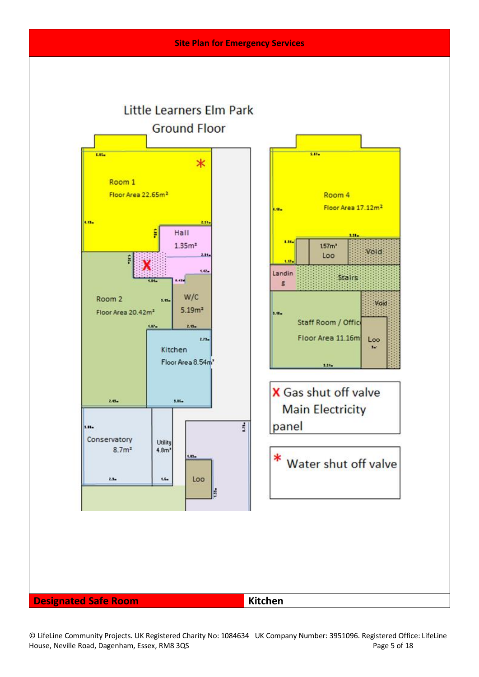

© LifeLine Community Projects. UK Registered Charity No: 1084634 UK Company Number: 3951096. Registered Office: LifeLine House, Neville Road, Dagenham, Essex, RM8 3QS Page 5 of 18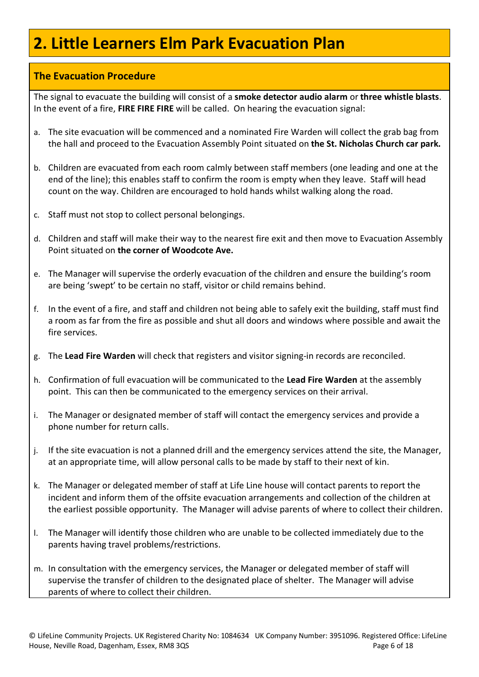### **2. Little Learners Elm Park Evacuation Plan**

#### **The Evacuation Procedure**

The signal to evacuate the building will consist of a **smoke detector audio alarm** or **three whistle blasts**. In the event of a fire, **FIRE FIRE FIRE** will be called. On hearing the evacuation signal:

- a. The site evacuation will be commenced and a nominated Fire Warden will collect the grab bag from the hall and proceed to the Evacuation Assembly Point situated on **the St. Nicholas Church car park.**
- b. Children are evacuated from each room calmly between staff members (one leading and one at the end of the line); this enables staff to confirm the room is empty when they leave. Staff will head count on the way. Children are encouraged to hold hands whilst walking along the road.
- c. Staff must not stop to collect personal belongings.
- d. Children and staff will make their way to the nearest fire exit and then move to Evacuation Assembly Point situated on **the corner of Woodcote Ave.**
- e. The Manager will supervise the orderly evacuation of the children and ensure the building's room are being 'swept' to be certain no staff, visitor or child remains behind.
- f. In the event of a fire, and staff and children not being able to safely exit the building, staff must find a room as far from the fire as possible and shut all doors and windows where possible and await the fire services.
- g. The **Lead Fire Warden** will check that registers and visitor signing-in records are reconciled.
- h. Confirmation of full evacuation will be communicated to the **Lead Fire Warden** at the assembly point. This can then be communicated to the emergency services on their arrival.
- i. The Manager or designated member of staff will contact the emergency services and provide a phone number for return calls.
- j. If the site evacuation is not a planned drill and the emergency services attend the site, the Manager, at an appropriate time, will allow personal calls to be made by staff to their next of kin.
- k. The Manager or delegated member of staff at Life Line house will contact parents to report the incident and inform them of the offsite evacuation arrangements and collection of the children at the earliest possible opportunity. The Manager will advise parents of where to collect their children.
- l. The Manager will identify those children who are unable to be collected immediately due to the parents having travel problems/restrictions.
- m. In consultation with the emergency services, the Manager or delegated member of staff will supervise the transfer of children to the designated place of shelter. The Manager will advise parents of where to collect their children.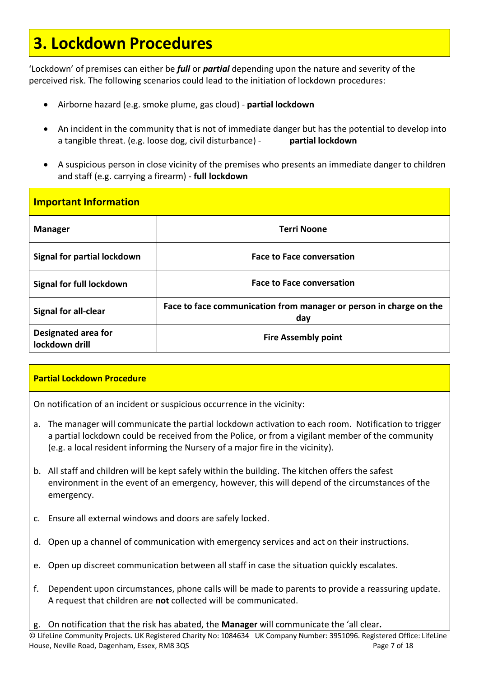### **3. Lockdown Procedures**

'Lockdown' of premises can either be *full* or *partial* depending upon the nature and severity of the perceived risk. The following scenarios could lead to the initiation of lockdown procedures:

- Airborne hazard (e.g. smoke plume, gas cloud) **partial lockdown**
- An incident in the community that is not of immediate danger but has the potential to develop into a tangible threat. (e.g. loose dog, civil disturbance) - **partial lockdown**
- A suspicious person in close vicinity of the premises who presents an immediate danger to children and staff (e.g. carrying a firearm) - **full lockdown**

| <b>Important Information</b>          |                                                                           |
|---------------------------------------|---------------------------------------------------------------------------|
| <b>Manager</b>                        | <b>Terri Noone</b>                                                        |
| Signal for partial lockdown           | <b>Face to Face conversation</b>                                          |
| Signal for full lockdown              | <b>Face to Face conversation</b>                                          |
| <b>Signal for all-clear</b>           | Face to face communication from manager or person in charge on the<br>day |
| Designated area for<br>lockdown drill | <b>Fire Assembly point</b>                                                |

#### **Partial Lockdown Procedure**

On notification of an incident or suspicious occurrence in the vicinity:

- a. The manager will communicate the partial lockdown activation to each room. Notification to trigger a partial lockdown could be received from the Police, or from a vigilant member of the community (e.g. a local resident informing the Nursery of a major fire in the vicinity).
- b. All staff and children will be kept safely within the building. The kitchen offers the safest environment in the event of an emergency, however, this will depend of the circumstances of the emergency.
- c. Ensure all external windows and doors are safely locked.
- d. Open up a channel of communication with emergency services and act on their instructions.
- e. Open up discreet communication between all staff in case the situation quickly escalates.
- f. Dependent upon circumstances, phone calls will be made to parents to provide a reassuring update. A request that children are **not** collected will be communicated.
- g. On notification that the risk has abated, the **Manager** will communicate the 'all clear*.*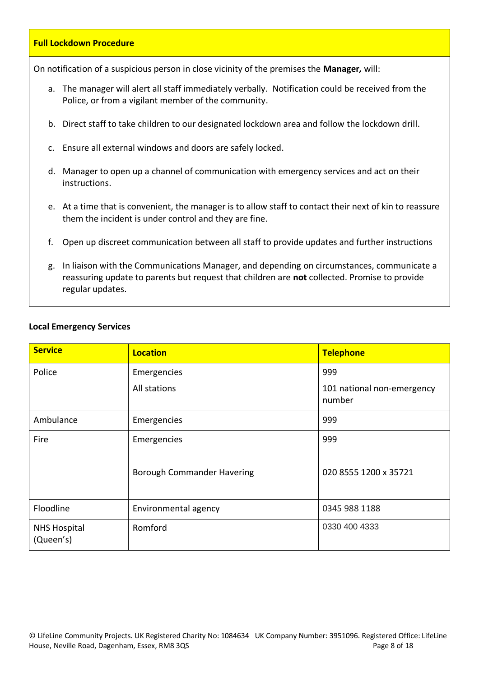### **Full Lockdown Procedure** On notification of a suspicious person in close vicinity of the premises the **Manager***,* will: a. The manager will alert all staff immediately verbally. Notification could be received from the Police, or from a vigilant member of the community. b. Direct staff to take children to our designated lockdown area and follow the lockdown drill. c. Ensure all external windows and doors are safely locked. d. Manager to open up a channel of communication with emergency services and act on their instructions. e. At a time that is convenient, the manager is to allow staff to contact their next of kin to reassure them the incident is under control and they are fine. f. Open up discreet communication between all staff to provide updates and further instructions g. In liaison with the Communications Manager, and depending on circumstances, communicate a

reassuring update to parents but request that children are **not** collected. Promise to provide regular updates.

#### **Local Emergency Services**

| <b>Service</b>                   | <b>Location</b>                   | Telephone                            |
|----------------------------------|-----------------------------------|--------------------------------------|
| Police                           | Emergencies                       | 999                                  |
|                                  | All stations                      | 101 national non-emergency<br>number |
| Ambulance                        | Emergencies                       | 999                                  |
| Fire                             | Emergencies                       | 999                                  |
|                                  | <b>Borough Commander Havering</b> | 020 8555 1200 x 35721                |
| Floodline                        | Environmental agency              | 0345 988 1188                        |
| <b>NHS Hospital</b><br>(Queen's) | Romford                           | 0330 400 4333                        |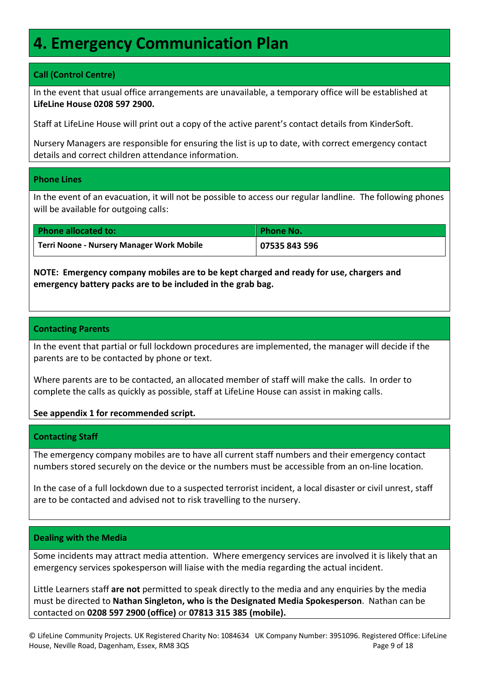### **4. Emergency Communication Plan**

#### **Call (Control Centre)**

In the event that usual office arrangements are unavailable, a temporary office will be established at **LifeLine House 0208 597 2900.**

Staff at LifeLine House will print out a copy of the active parent's contact details from KinderSoft.

Nursery Managers are responsible for ensuring the list is up to date, with correct emergency contact details and correct children attendance information.

#### **Phone Lines**

In the event of an evacuation, it will not be possible to access our regular landline. The following phones will be available for outgoing calls:

| <b>Phone allocated to:</b>                       | <b>Phone No.</b> |
|--------------------------------------------------|------------------|
| <b>Terri Noone - Nursery Manager Work Mobile</b> | 07535 843 596    |

**NOTE: Emergency company mobiles are to be kept charged and ready for use, chargers and emergency battery packs are to be included in the grab bag.**

#### **Contacting Parents**

In the event that partial or full lockdown procedures are implemented, the manager will decide if the parents are to be contacted by phone or text.

Where parents are to be contacted, an allocated member of staff will make the calls. In order to complete the calls as quickly as possible, staff at LifeLine House can assist in making calls.

#### **See appendix 1 for recommended script.**

#### **Contacting Staff**

The emergency company mobiles are to have all current staff numbers and their emergency contact numbers stored securely on the device or the numbers must be accessible from an on-line location.

In the case of a full lockdown due to a suspected terrorist incident, a local disaster or civil unrest, staff are to be contacted and advised not to risk travelling to the nursery.

#### **Dealing with the Media**

Some incidents may attract media attention. Where emergency services are involved it is likely that an emergency services spokesperson will liaise with the media regarding the actual incident.

Little Learners staff **are not** permitted to speak directly to the media and any enquiries by the media must be directed to **Nathan Singleton, who is the Designated Media Spokesperson**. Nathan can be contacted on **0208 597 2900 (office)** or **07813 315 385 (mobile).**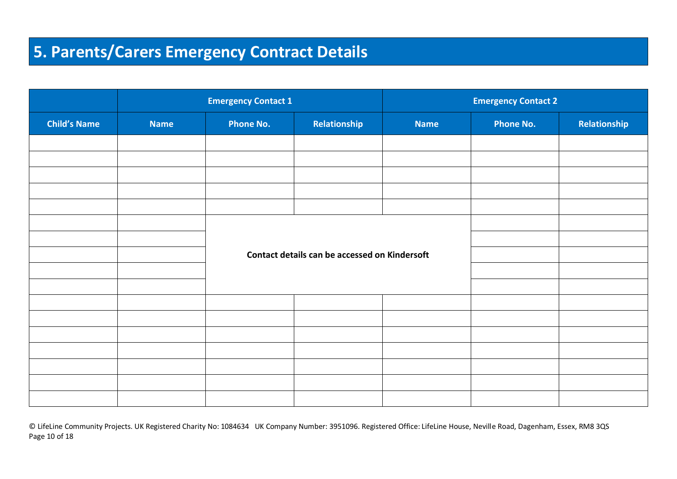### **5. Parents/Carers Emergency Contract Details**

|                     | <b>Emergency Contact 1</b> |                  | <b>Emergency Contact 2</b>                    |             |                  |              |
|---------------------|----------------------------|------------------|-----------------------------------------------|-------------|------------------|--------------|
| <b>Child's Name</b> | <b>Name</b>                | <b>Phone No.</b> | Relationship                                  | <b>Name</b> | <b>Phone No.</b> | Relationship |
|                     |                            |                  |                                               |             |                  |              |
|                     |                            |                  |                                               |             |                  |              |
|                     |                            |                  |                                               |             |                  |              |
|                     |                            |                  |                                               |             |                  |              |
|                     |                            |                  |                                               |             |                  |              |
|                     |                            |                  |                                               |             |                  |              |
|                     |                            |                  |                                               |             |                  |              |
|                     |                            |                  | Contact details can be accessed on Kindersoft |             |                  |              |
|                     |                            |                  |                                               |             |                  |              |
|                     |                            |                  |                                               |             |                  |              |
|                     |                            |                  |                                               |             |                  |              |
|                     |                            |                  |                                               |             |                  |              |
|                     |                            |                  |                                               |             |                  |              |
|                     |                            |                  |                                               |             |                  |              |
|                     |                            |                  |                                               |             |                  |              |
|                     |                            |                  |                                               |             |                  |              |
|                     |                            |                  |                                               |             |                  |              |

© LifeLine Community Projects. UK Registered Charity No: 1084634 UK Company Number: 3951096. Registered Office: LifeLine House, Neville Road, Dagenham, Essex, RM8 3QS Page 10 of 18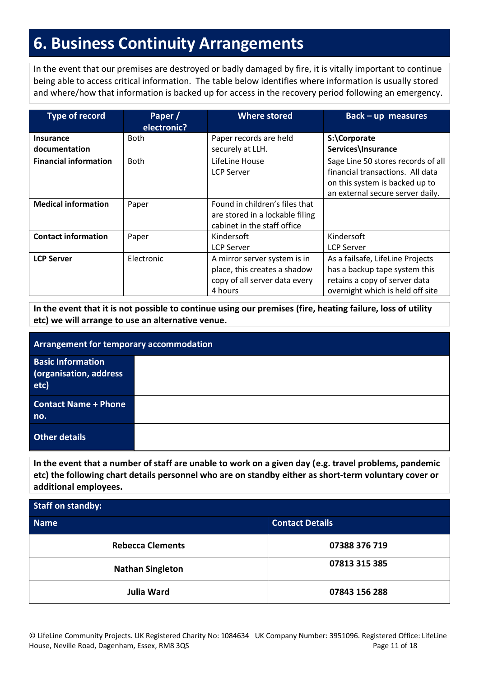### **6. Business Continuity Arrangements**

In the event that our premises are destroyed or badly damaged by fire, it is vitally important to continue being able to access critical information. The table below identifies where information is usually stored and where/how that information is backed up for access in the recovery period following an emergency.

| <b>Type of record</b>        | Paper /<br>electronic? | <b>Where stored</b>             | <b>Back-up measures</b>            |
|------------------------------|------------------------|---------------------------------|------------------------------------|
| <b>Insurance</b>             | Both                   | Paper records are held          | S:\Corporate                       |
| documentation                |                        | securely at LLH.                | Services\Insurance                 |
| <b>Financial information</b> | <b>Both</b>            | LifeLine House                  | Sage Line 50 stores records of all |
|                              |                        | <b>LCP Server</b>               | financial transactions. All data   |
|                              |                        |                                 | on this system is backed up to     |
|                              |                        |                                 | an external secure server daily.   |
| <b>Medical information</b>   | Paper                  | Found in children's files that  |                                    |
|                              |                        | are stored in a lockable filing |                                    |
|                              |                        | cabinet in the staff office     |                                    |
| <b>Contact information</b>   | Paper                  | Kindersoft                      | Kindersoft                         |
|                              |                        | <b>LCP Server</b>               | <b>LCP Server</b>                  |
| <b>LCP Server</b>            | Electronic             | A mirror server system is in    | As a failsafe, LifeLine Projects   |
|                              |                        | place, this creates a shadow    | has a backup tape system this      |
|                              |                        | copy of all server data every   | retains a copy of server data      |
|                              |                        | 4 hours                         | overnight which is held off site   |

**In the event that it is not possible to continue using our premises (fire, heating failure, loss of utility etc) we will arrange to use an alternative venue.**

| Arrangement for temporary accommodation                    |  |  |
|------------------------------------------------------------|--|--|
| <b>Basic Information</b><br>(organisation, address<br>etc) |  |  |
| <b>Contact Name + Phone</b><br>no.                         |  |  |
| <b>Other details</b>                                       |  |  |

**In the event that a number of staff are unable to work on a given day (e.g. travel problems, pandemic etc) the following chart details personnel who are on standby either as short-term voluntary cover or additional employees.**

| <b>Staff on standby:</b> |                        |  |  |
|--------------------------|------------------------|--|--|
| <b>Name</b>              | <b>Contact Details</b> |  |  |
| <b>Rebecca Clements</b>  | 07388 376 719          |  |  |
| <b>Nathan Singleton</b>  | 07813 315 385          |  |  |
| <b>Julia Ward</b>        | 07843 156 288          |  |  |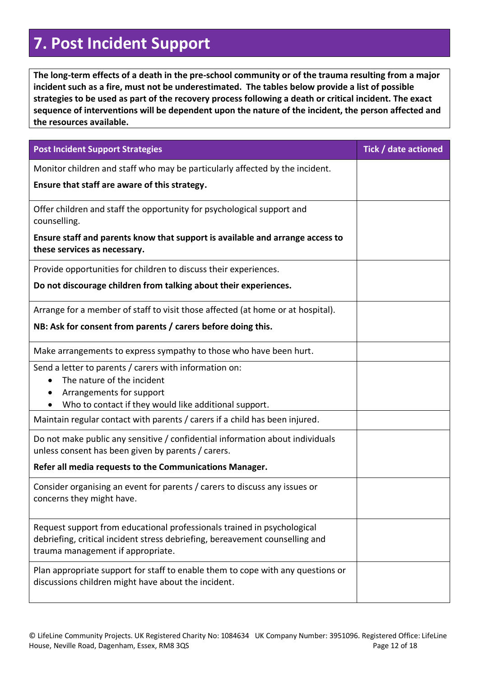### **7. Post Incident Support**

**The long-term effects of a death in the pre-school community or of the trauma resulting from a major incident such as a fire, must not be underestimated. The tables below provide a list of possible strategies to be used as part of the recovery process following a death or critical incident. The exact sequence of interventions will be dependent upon the nature of the incident, the person affected and the resources available.**

| <b>Post Incident Support Strategies</b>                                                                                                                                                      | Tick / date actioned |
|----------------------------------------------------------------------------------------------------------------------------------------------------------------------------------------------|----------------------|
| Monitor children and staff who may be particularly affected by the incident.                                                                                                                 |                      |
| Ensure that staff are aware of this strategy.                                                                                                                                                |                      |
| Offer children and staff the opportunity for psychological support and<br>counselling.                                                                                                       |                      |
| Ensure staff and parents know that support is available and arrange access to<br>these services as necessary.                                                                                |                      |
| Provide opportunities for children to discuss their experiences.                                                                                                                             |                      |
| Do not discourage children from talking about their experiences.                                                                                                                             |                      |
| Arrange for a member of staff to visit those affected (at home or at hospital).                                                                                                              |                      |
| NB: Ask for consent from parents / carers before doing this.                                                                                                                                 |                      |
| Make arrangements to express sympathy to those who have been hurt.                                                                                                                           |                      |
| Send a letter to parents / carers with information on:<br>The nature of the incident                                                                                                         |                      |
| Arrangements for support                                                                                                                                                                     |                      |
| Who to contact if they would like additional support.                                                                                                                                        |                      |
| Maintain regular contact with parents / carers if a child has been injured.                                                                                                                  |                      |
| Do not make public any sensitive / confidential information about individuals<br>unless consent has been given by parents / carers.                                                          |                      |
| Refer all media requests to the Communications Manager.                                                                                                                                      |                      |
| Consider organising an event for parents / carers to discuss any issues or<br>concerns they might have.                                                                                      |                      |
| Request support from educational professionals trained in psychological<br>debriefing, critical incident stress debriefing, bereavement counselling and<br>trauma management if appropriate. |                      |
| Plan appropriate support for staff to enable them to cope with any questions or<br>discussions children might have about the incident.                                                       |                      |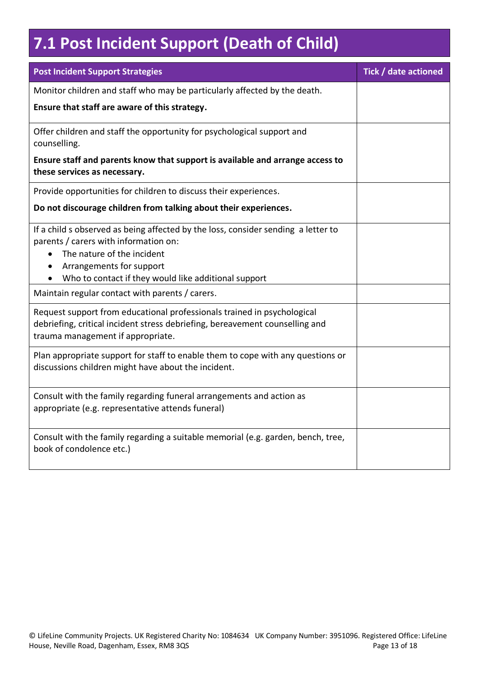## **7.1 Post Incident Support (Death of Child)**

| <b>Post Incident Support Strategies</b>                                                                                                                                                                                                      | Tick / date actioned |
|----------------------------------------------------------------------------------------------------------------------------------------------------------------------------------------------------------------------------------------------|----------------------|
| Monitor children and staff who may be particularly affected by the death.                                                                                                                                                                    |                      |
| Ensure that staff are aware of this strategy.                                                                                                                                                                                                |                      |
| Offer children and staff the opportunity for psychological support and<br>counselling.                                                                                                                                                       |                      |
| Ensure staff and parents know that support is available and arrange access to<br>these services as necessary.                                                                                                                                |                      |
| Provide opportunities for children to discuss their experiences.                                                                                                                                                                             |                      |
| Do not discourage children from talking about their experiences.                                                                                                                                                                             |                      |
| If a child s observed as being affected by the loss, consider sending a letter to<br>parents / carers with information on:<br>The nature of the incident<br>Arrangements for support<br>Who to contact if they would like additional support |                      |
| Maintain regular contact with parents / carers.                                                                                                                                                                                              |                      |
| Request support from educational professionals trained in psychological<br>debriefing, critical incident stress debriefing, bereavement counselling and<br>trauma management if appropriate.                                                 |                      |
| Plan appropriate support for staff to enable them to cope with any questions or<br>discussions children might have about the incident.                                                                                                       |                      |
| Consult with the family regarding funeral arrangements and action as<br>appropriate (e.g. representative attends funeral)                                                                                                                    |                      |
| Consult with the family regarding a suitable memorial (e.g. garden, bench, tree,<br>book of condolence etc.)                                                                                                                                 |                      |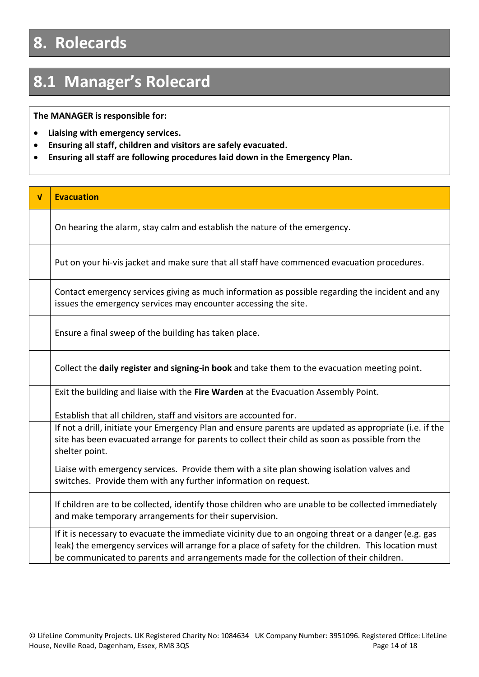### **8. Rolecards**

### **8.1 Manager's Rolecard**

**The MANAGER is responsible for:**

- **Liaising with emergency services.**
- **Ensuring all staff, children and visitors are safely evacuated.**
- **Ensuring all staff are following procedures laid down in the Emergency Plan.**

| $\mathbf{v}$ | <b>Evacuation</b>                                                                                                                                                                                                                                                                                      |
|--------------|--------------------------------------------------------------------------------------------------------------------------------------------------------------------------------------------------------------------------------------------------------------------------------------------------------|
|              | On hearing the alarm, stay calm and establish the nature of the emergency.                                                                                                                                                                                                                             |
|              | Put on your hi-vis jacket and make sure that all staff have commenced evacuation procedures.                                                                                                                                                                                                           |
|              | Contact emergency services giving as much information as possible regarding the incident and any<br>issues the emergency services may encounter accessing the site.                                                                                                                                    |
|              | Ensure a final sweep of the building has taken place.                                                                                                                                                                                                                                                  |
|              | Collect the daily register and signing-in book and take them to the evacuation meeting point.                                                                                                                                                                                                          |
|              | Exit the building and liaise with the Fire Warden at the Evacuation Assembly Point.                                                                                                                                                                                                                    |
|              | Establish that all children, staff and visitors are accounted for.                                                                                                                                                                                                                                     |
|              | If not a drill, initiate your Emergency Plan and ensure parents are updated as appropriate (i.e. if the<br>site has been evacuated arrange for parents to collect their child as soon as possible from the<br>shelter point.                                                                           |
|              | Liaise with emergency services. Provide them with a site plan showing isolation valves and<br>switches. Provide them with any further information on request.                                                                                                                                          |
|              | If children are to be collected, identify those children who are unable to be collected immediately<br>and make temporary arrangements for their supervision.                                                                                                                                          |
|              | If it is necessary to evacuate the immediate vicinity due to an ongoing threat or a danger (e.g. gas<br>leak) the emergency services will arrange for a place of safety for the children. This location must<br>be communicated to parents and arrangements made for the collection of their children. |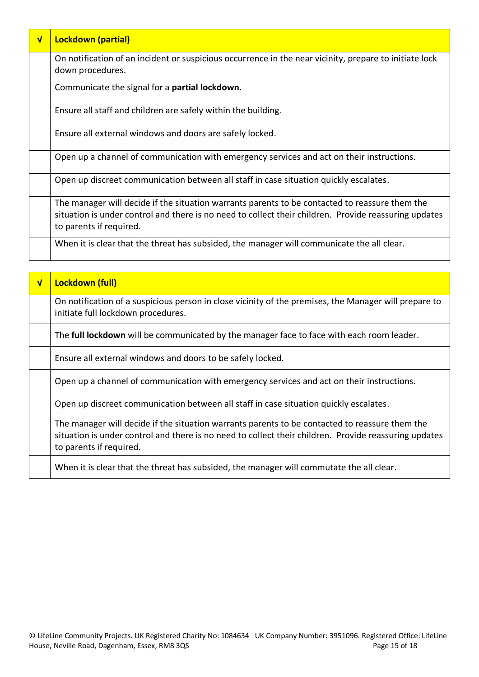| $\sqrt{ }$ | <b>Lockdown (partial)</b>                                                                                                                                                                                                          |
|------------|------------------------------------------------------------------------------------------------------------------------------------------------------------------------------------------------------------------------------------|
|            | On notification of an incident or suspicious occurrence in the near vicinity, prepare to initiate lock<br>down procedures.                                                                                                         |
|            | Communicate the signal for a partial lockdown.                                                                                                                                                                                     |
|            | Ensure all staff and children are safely within the building.                                                                                                                                                                      |
|            | Ensure all external windows and doors are safely locked.                                                                                                                                                                           |
|            | Open up a channel of communication with emergency services and act on their instructions.                                                                                                                                          |
|            | Open up discreet communication between all staff in case situation quickly escalates.                                                                                                                                              |
|            | The manager will decide if the situation warrants parents to be contacted to reassure them the<br>situation is under control and there is no need to collect their children. Provide reassuring updates<br>to parents if required. |
|            | When it is clear that the threat has subsided, the manager will communicate the all clear.                                                                                                                                         |

| $\overline{\mathsf{v}}$ | Lockdown (full)                                                                                                                                                                                                                    |
|-------------------------|------------------------------------------------------------------------------------------------------------------------------------------------------------------------------------------------------------------------------------|
|                         | On notification of a suspicious person in close vicinity of the premises, the Manager will prepare to<br>initiate full lockdown procedures.                                                                                        |
|                         | The full lockdown will be communicated by the manager face to face with each room leader.                                                                                                                                          |
|                         | Ensure all external windows and doors to be safely locked.                                                                                                                                                                         |
|                         | Open up a channel of communication with emergency services and act on their instructions.                                                                                                                                          |
|                         | Open up discreet communication between all staff in case situation quickly escalates.                                                                                                                                              |
|                         | The manager will decide if the situation warrants parents to be contacted to reassure them the<br>situation is under control and there is no need to collect their children. Provide reassuring updates<br>to parents if required. |
|                         | When it is clear that the threat has subsided, the manager will commutate the all clear.                                                                                                                                           |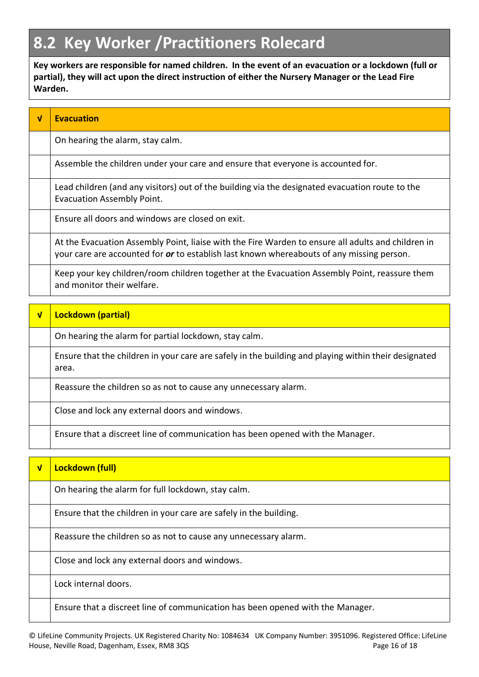### **8.2 Key Worker /Practitioners Rolecard**

**Key workers are responsible for named children. In the event of an evacuation or a lockdown (full or partial), they will act upon the direct instruction of either the Nursery Manager or the Lead Fire Warden.**

| $\mathbf v$ | <b>Evacuation</b>                                                                                                                                                                                      |
|-------------|--------------------------------------------------------------------------------------------------------------------------------------------------------------------------------------------------------|
|             | On hearing the alarm, stay calm.                                                                                                                                                                       |
|             | Assemble the children under your care and ensure that everyone is accounted for.                                                                                                                       |
|             | Lead children (and any visitors) out of the building via the designated evacuation route to the<br><b>Evacuation Assembly Point.</b>                                                                   |
|             | Ensure all doors and windows are closed on exit.                                                                                                                                                       |
|             | At the Evacuation Assembly Point, liaise with the Fire Warden to ensure all adults and children in<br>your care are accounted for <i>or</i> to establish last known whereabouts of any missing person. |
|             | Keep your key children/room children together at the Evacuation Assembly Point, reassure them<br>and monitor their welfare.                                                                            |

| $\sqrt{ }$ | <b>Lockdown (partial)</b>                                                                                     |
|------------|---------------------------------------------------------------------------------------------------------------|
|            | On hearing the alarm for partial lockdown, stay calm.                                                         |
|            | Ensure that the children in your care are safely in the building and playing within their designated<br>area. |
|            | Reassure the children so as not to cause any unnecessary alarm.                                               |
|            | Close and lock any external doors and windows.                                                                |
|            | Ensure that a discreet line of communication has been opened with the Manager.                                |

| $\sqrt{ }$ | Lockdown (full)                                                                |
|------------|--------------------------------------------------------------------------------|
|            | On hearing the alarm for full lockdown, stay calm.                             |
|            | Ensure that the children in your care are safely in the building.              |
|            | Reassure the children so as not to cause any unnecessary alarm.                |
|            | Close and lock any external doors and windows.                                 |
|            | Lock internal doors.                                                           |
|            | Ensure that a discreet line of communication has been opened with the Manager. |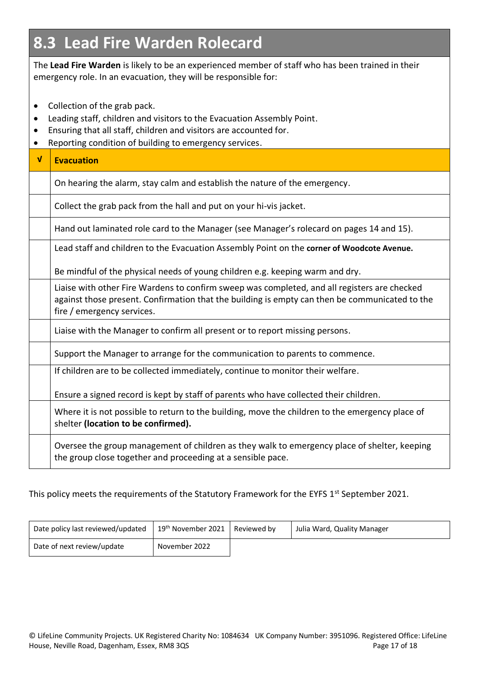### **8.3 Lead Fire Warden Rolecard**

The **Lead Fire Warden** is likely to be an experienced member of staff who has been trained in their emergency role. In an evacuation, they will be responsible for:

- Collection of the grab pack.
- Leading staff, children and visitors to the Evacuation Assembly Point.
- Ensuring that all staff, children and visitors are accounted for.
- Reporting condition of building to emergency services.

| $\sqrt{ }$ | <b>Evacuation</b>                                                                                                                                                                                                            |
|------------|------------------------------------------------------------------------------------------------------------------------------------------------------------------------------------------------------------------------------|
|            | On hearing the alarm, stay calm and establish the nature of the emergency.                                                                                                                                                   |
|            | Collect the grab pack from the hall and put on your hi-vis jacket.                                                                                                                                                           |
|            | Hand out laminated role card to the Manager (see Manager's rolecard on pages 14 and 15).                                                                                                                                     |
|            | Lead staff and children to the Evacuation Assembly Point on the corner of Woodcote Avenue.                                                                                                                                   |
|            | Be mindful of the physical needs of young children e.g. keeping warm and dry.                                                                                                                                                |
|            | Liaise with other Fire Wardens to confirm sweep was completed, and all registers are checked<br>against those present. Confirmation that the building is empty can then be communicated to the<br>fire / emergency services. |
|            | Liaise with the Manager to confirm all present or to report missing persons.                                                                                                                                                 |
|            | Support the Manager to arrange for the communication to parents to commence.                                                                                                                                                 |
|            | If children are to be collected immediately, continue to monitor their welfare.                                                                                                                                              |
|            | Ensure a signed record is kept by staff of parents who have collected their children.                                                                                                                                        |
|            | Where it is not possible to return to the building, move the children to the emergency place of<br>shelter (location to be confirmed).                                                                                       |
|            | Oversee the group management of children as they walk to emergency place of shelter, keeping<br>the group close together and proceeding at a sensible pace.                                                                  |

This policy meets the requirements of the Statutory Framework for the EYFS 1<sup>st</sup> September 2021.

| Date policy last reviewed/updated | 19 <sup>th</sup> November 2021   Reviewed by | Julia Ward, Quality Manager |
|-----------------------------------|----------------------------------------------|-----------------------------|
| Date of next review/update        | November 2022                                |                             |